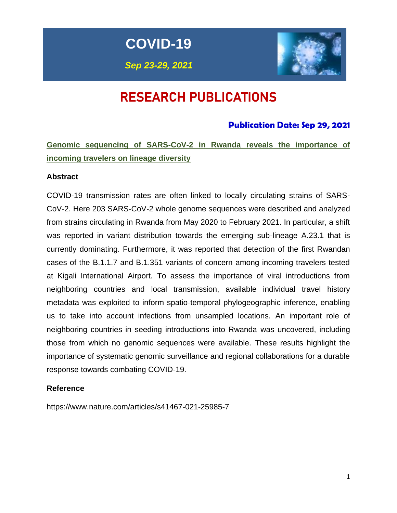**COVID-19**

*Sep 23-29, 2021*



# RESEARCH PUBLICATIONS

## **Publication Date: Sep 29, 2021**

**Genomic sequencing of SARS-CoV-2 in Rwanda reveals the importance of incoming travelers on lineage diversity**

### **Abstract**

COVID-19 transmission rates are often linked to locally circulating strains of SARS-CoV-2. Here 203 SARS-CoV-2 whole genome sequences were described and analyzed from strains circulating in Rwanda from May 2020 to February 2021. In particular, a shift was reported in variant distribution towards the emerging sub-lineage A.23.1 that is currently dominating. Furthermore, it was reported that detection of the first Rwandan cases of the B.1.1.7 and B.1.351 variants of concern among incoming travelers tested at Kigali International Airport. To assess the importance of viral introductions from neighboring countries and local transmission, available individual travel history metadata was exploited to inform spatio-temporal phylogeographic inference, enabling us to take into account infections from unsampled locations. An important role of neighboring countries in seeding introductions into Rwanda was uncovered, including those from which no genomic sequences were available. These results highlight the importance of systematic genomic surveillance and regional collaborations for a durable response towards combating COVID-19.

### **Reference**

https://www.nature.com/articles/s41467-021-25985-7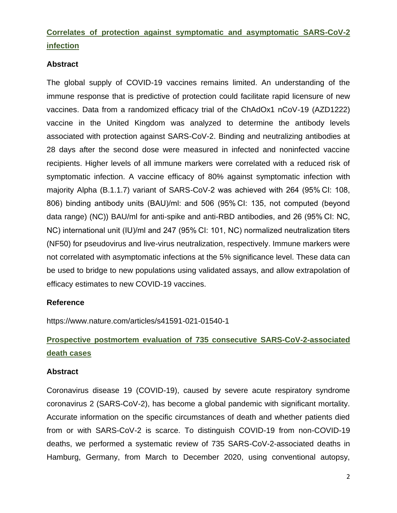## **Correlates of protection against symptomatic and asymptomatic SARS-CoV-2 infection**

### **Abstract**

The global supply of COVID-19 vaccines remains limited. An understanding of the immune response that is predictive of protection could facilitate rapid licensure of new vaccines. Data from a randomized efficacy trial of the ChAdOx1 nCoV-19 (AZD1222) vaccine in the United Kingdom was analyzed to determine the antibody levels associated with protection against SARS-CoV-2. Binding and neutralizing antibodies at 28 days after the second dose were measured in infected and noninfected vaccine recipients. Higher levels of all immune markers were correlated with a reduced risk of symptomatic infection. A vaccine efficacy of 80% against symptomatic infection with majority Alpha (B.1.1.7) variant of SARS-CoV-2 was achieved with 264 (95% CI: 108, 806) binding antibody units (BAU)/ml: and 506 (95% CI: 135, not computed (beyond data range) (NC)) BAU/ml for anti-spike and anti-RBD antibodies, and 26 (95% CI: NC, NC) international unit (IU)/ml and 247 (95% CI: 101, NC) normalized neutralization titers (NF50) for pseudovirus and live-virus neutralization, respectively. Immune markers were not correlated with asymptomatic infections at the 5% significance level. These data can be used to bridge to new populations using validated assays, and allow extrapolation of efficacy estimates to new COVID-19 vaccines.

### **Reference**

https://www.nature.com/articles/s41591-021-01540-1

## **Prospective postmortem evaluation of 735 consecutive SARS-CoV-2-associated death cases**

#### **Abstract**

Coronavirus disease 19 (COVID-19), caused by severe acute respiratory syndrome coronavirus 2 (SARS-CoV-2), has become a global pandemic with significant mortality. Accurate information on the specific circumstances of death and whether patients died from or with SARS-CoV-2 is scarce. To distinguish COVID-19 from non-COVID-19 deaths, we performed a systematic review of 735 SARS-CoV-2-associated deaths in Hamburg, Germany, from March to December 2020, using conventional autopsy,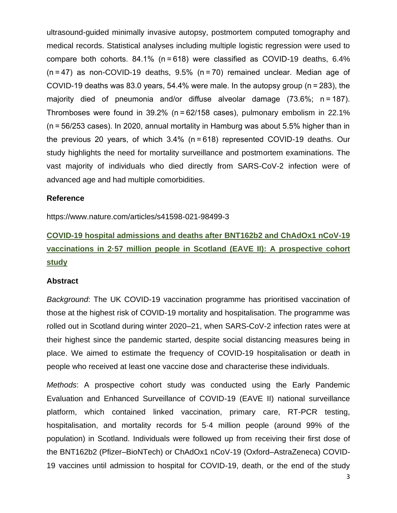ultrasound-guided minimally invasive autopsy, postmortem computed tomography and medical records. Statistical analyses including multiple logistic regression were used to compare both cohorts. 84.1% (n = 618) were classified as COVID-19 deaths, 6.4% (n = 47) as non-COVID-19 deaths, 9.5% (n = 70) remained unclear. Median age of COVID-19 deaths was 83.0 years, 54.4% were male. In the autopsy group (n = 283), the majority died of pneumonia and/or diffuse alveolar damage (73.6%; n = 187). Thromboses were found in 39.2% (n = 62/158 cases), pulmonary embolism in 22.1% (n = 56/253 cases). In 2020, annual mortality in Hamburg was about 5.5% higher than in the previous 20 years, of which 3.4% (n = 618) represented COVID-19 deaths. Our study highlights the need for mortality surveillance and postmortem examinations. The vast majority of individuals who died directly from SARS-CoV-2 infection were of advanced age and had multiple comorbidities.

#### **Reference**

https://www.nature.com/articles/s41598-021-98499-3

## **COVID-19 hospital admissions and deaths after BNT162b2 and ChAdOx1 nCoV-19 vaccinations in 2·57 million people in Scotland (EAVE II): A prospective cohort study**

### **Abstract**

*Background*: The UK COVID-19 vaccination programme has prioritised vaccination of those at the highest risk of COVID-19 mortality and hospitalisation. The programme was rolled out in Scotland during winter 2020–21, when SARS-CoV-2 infection rates were at their highest since the pandemic started, despite social distancing measures being in place. We aimed to estimate the frequency of COVID-19 hospitalisation or death in people who received at least one vaccine dose and characterise these individuals.

*Methods*: A prospective cohort study was conducted using the Early Pandemic Evaluation and Enhanced Surveillance of COVID-19 (EAVE II) national surveillance platform, which contained linked vaccination, primary care, RT-PCR testing, hospitalisation, and mortality records for 5·4 million people (around 99% of the population) in Scotland. Individuals were followed up from receiving their first dose of the BNT162b2 (Pfizer–BioNTech) or ChAdOx1 nCoV-19 (Oxford–AstraZeneca) COVID-19 vaccines until admission to hospital for COVID-19, death, or the end of the study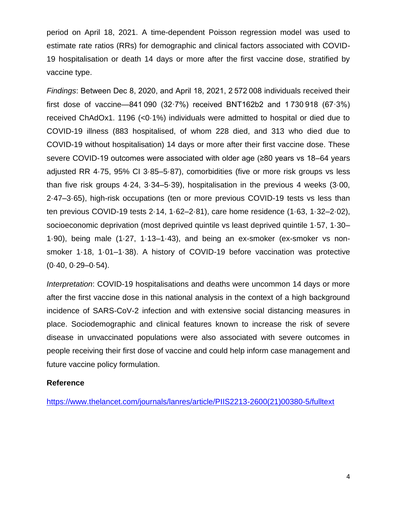period on April 18, 2021. A time-dependent Poisson regression model was used to estimate rate ratios (RRs) for demographic and clinical factors associated with COVID-19 hospitalisation or death 14 days or more after the first vaccine dose, stratified by vaccine type.

*Findings*: Between Dec 8, 2020, and April 18, 2021, 2 572 008 individuals received their first dose of vaccine—841 090 (32·7%) received BNT162b2 and 1 730 918 (67·3%) received ChAdOx1. 1196 (<0·1%) individuals were admitted to hospital or died due to COVID-19 illness (883 hospitalised, of whom 228 died, and 313 who died due to COVID-19 without hospitalisation) 14 days or more after their first vaccine dose. These severe COVID-19 outcomes were associated with older age (≥80 years vs 18–64 years adjusted RR 4·75, 95% CI 3·85–5·87), comorbidities (five or more risk groups vs less than five risk groups 4·24, 3·34–5·39), hospitalisation in the previous 4 weeks (3·00, 2·47–3·65), high-risk occupations (ten or more previous COVID-19 tests vs less than ten previous COVID-19 tests 2·14, 1·62–2·81), care home residence (1·63, 1·32–2·02), socioeconomic deprivation (most deprived quintile vs least deprived quintile 1·57, 1·30– 1·90), being male (1·27, 1·13–1·43), and being an ex-smoker (ex-smoker vs nonsmoker 1·18, 1·01–1·38). A history of COVID-19 before vaccination was protective  $(0.40, 0.29 - 0.54)$ .

*Interpretation*: COVID-19 hospitalisations and deaths were uncommon 14 days or more after the first vaccine dose in this national analysis in the context of a high background incidence of SARS-CoV-2 infection and with extensive social distancing measures in place. Sociodemographic and clinical features known to increase the risk of severe disease in unvaccinated populations were also associated with severe outcomes in people receiving their first dose of vaccine and could help inform case management and future vaccine policy formulation.

### **Reference**

[https://www.thelancet.com/journals/lanres/article/PIIS2213-2600\(21\)00380-5/fulltext](https://www.thelancet.com/journals/lanres/article/PIIS2213-2600(21)00380-5/fulltext)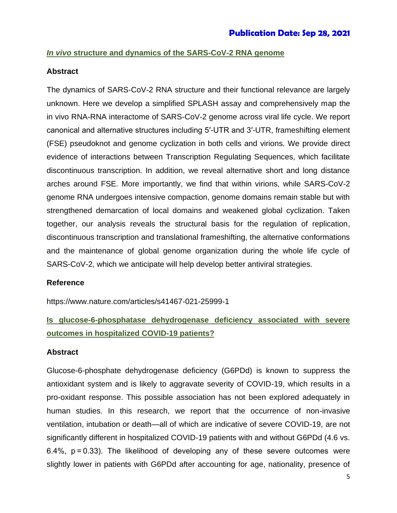## *In vivo* **structure and dynamics of the SARS-CoV-2 RNA genome**

### **Abstract**

The dynamics of SARS-CoV-2 RNA structure and their functional relevance are largely unknown. Here we develop a simplified SPLASH assay and comprehensively map the in vivo RNA-RNA interactome of SARS-CoV-2 genome across viral life cycle. We report canonical and alternative structures including 5′-UTR and 3′-UTR, frameshifting element (FSE) pseudoknot and genome cyclization in both cells and virions. We provide direct evidence of interactions between Transcription Regulating Sequences, which facilitate discontinuous transcription. In addition, we reveal alternative short and long distance arches around FSE. More importantly, we find that within virions, while SARS-CoV-2 genome RNA undergoes intensive compaction, genome domains remain stable but with strengthened demarcation of local domains and weakened global cyclization. Taken together, our analysis reveals the structural basis for the regulation of replication, discontinuous transcription and translational frameshifting, the alternative conformations and the maintenance of global genome organization during the whole life cycle of SARS-CoV-2, which we anticipate will help develop better antiviral strategies.

### **Reference**

https://www.nature.com/articles/s41467-021-25999-1

## **Is glucose-6-phosphatase dehydrogenase deficiency associated with severe outcomes in hospitalized COVID-19 patients?**

### **Abstract**

Glucose-6-phosphate dehydrogenase deficiency (G6PDd) is known to suppress the antioxidant system and is likely to aggravate severity of COVID-19, which results in a pro-oxidant response. This possible association has not been explored adequately in human studies. In this research, we report that the occurrence of non-invasive ventilation, intubation or death—all of which are indicative of severe COVID-19, are not significantly different in hospitalized COVID-19 patients with and without G6PDd (4.6 vs. 6.4%, p = 0.33). The likelihood of developing any of these severe outcomes were slightly lower in patients with G6PDd after accounting for age, nationality, presence of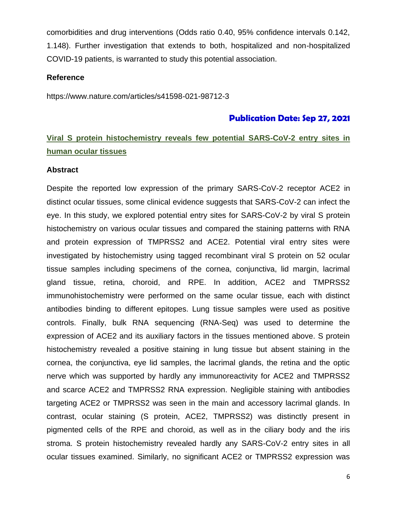comorbidities and drug interventions (Odds ratio 0.40, 95% confidence intervals 0.142, 1.148). Further investigation that extends to both, hospitalized and non-hospitalized COVID-19 patients, is warranted to study this potential association.

#### **Reference**

https://www.nature.com/articles/s41598-021-98712-3

### **Publication Date: Sep 27, 2021**

## **Viral S protein histochemistry reveals few potential SARS-CoV-2 entry sites in human ocular tissues**

#### **Abstract**

Despite the reported low expression of the primary SARS-CoV-2 receptor ACE2 in distinct ocular tissues, some clinical evidence suggests that SARS-CoV-2 can infect the eye. In this study, we explored potential entry sites for SARS-CoV-2 by viral S protein histochemistry on various ocular tissues and compared the staining patterns with RNA and protein expression of TMPRSS2 and ACE2. Potential viral entry sites were investigated by histochemistry using tagged recombinant viral S protein on 52 ocular tissue samples including specimens of the cornea, conjunctiva, lid margin, lacrimal gland tissue, retina, choroid, and RPE. In addition, ACE2 and TMPRSS2 immunohistochemistry were performed on the same ocular tissue, each with distinct antibodies binding to different epitopes. Lung tissue samples were used as positive controls. Finally, bulk RNA sequencing (RNA-Seq) was used to determine the expression of ACE2 and its auxiliary factors in the tissues mentioned above. S protein histochemistry revealed a positive staining in lung tissue but absent staining in the cornea, the conjunctiva, eye lid samples, the lacrimal glands, the retina and the optic nerve which was supported by hardly any immunoreactivity for ACE2 and TMPRSS2 and scarce ACE2 and TMPRSS2 RNA expression. Negligible staining with antibodies targeting ACE2 or TMPRSS2 was seen in the main and accessory lacrimal glands. In contrast, ocular staining (S protein, ACE2, TMPRSS2) was distinctly present in pigmented cells of the RPE and choroid, as well as in the ciliary body and the iris stroma. S protein histochemistry revealed hardly any SARS-CoV-2 entry sites in all ocular tissues examined. Similarly, no significant ACE2 or TMPRSS2 expression was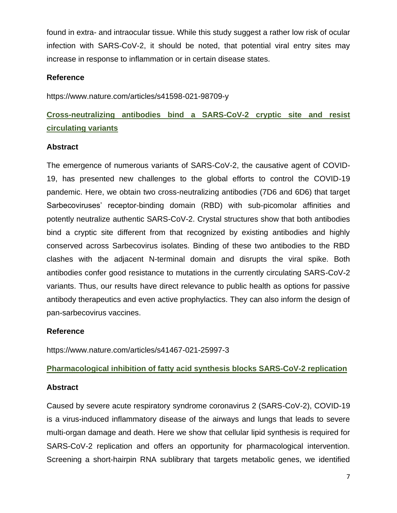found in extra- and intraocular tissue. While this study suggest a rather low risk of ocular infection with SARS-CoV-2, it should be noted, that potential viral entry sites may increase in response to inflammation or in certain disease states.

## **Reference**

https://www.nature.com/articles/s41598-021-98709-y

## **Cross-neutralizing antibodies bind a SARS-CoV-2 cryptic site and resist circulating variants**

## **Abstract**

The emergence of numerous variants of SARS-CoV-2, the causative agent of COVID-19, has presented new challenges to the global efforts to control the COVID-19 pandemic. Here, we obtain two cross-neutralizing antibodies (7D6 and 6D6) that target Sarbecoviruses' receptor-binding domain (RBD) with sub-picomolar affinities and potently neutralize authentic SARS-CoV-2. Crystal structures show that both antibodies bind a cryptic site different from that recognized by existing antibodies and highly conserved across Sarbecovirus isolates. Binding of these two antibodies to the RBD clashes with the adjacent N-terminal domain and disrupts the viral spike. Both antibodies confer good resistance to mutations in the currently circulating SARS-CoV-2 variants. Thus, our results have direct relevance to public health as options for passive antibody therapeutics and even active prophylactics. They can also inform the design of pan-sarbecovirus vaccines.

## **Reference**

https://www.nature.com/articles/s41467-021-25997-3

## **Pharmacological inhibition of fatty acid synthesis blocks SARS-CoV-2 replication**

### **Abstract**

Caused by severe acute respiratory syndrome coronavirus 2 (SARS-CoV-2), COVID-19 is a virus-induced inflammatory disease of the airways and lungs that leads to severe multi-organ damage and death. Here we show that cellular lipid synthesis is required for SARS-CoV-2 replication and offers an opportunity for pharmacological intervention. Screening a short-hairpin RNA sublibrary that targets metabolic genes, we identified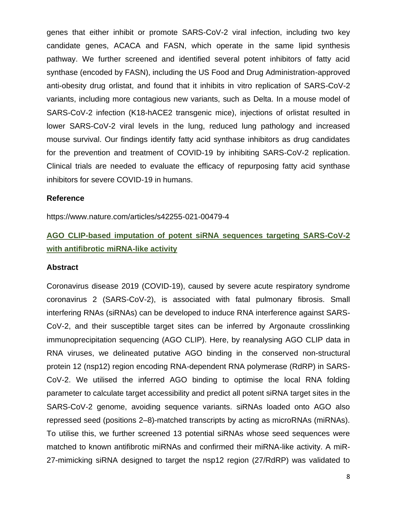genes that either inhibit or promote SARS-CoV-2 viral infection, including two key candidate genes, ACACA and FASN, which operate in the same lipid synthesis pathway. We further screened and identified several potent inhibitors of fatty acid synthase (encoded by FASN), including the US Food and Drug Administration-approved anti-obesity drug orlistat, and found that it inhibits in vitro replication of SARS-CoV-2 variants, including more contagious new variants, such as Delta. In a mouse model of SARS-CoV-2 infection (K18-hACE2 transgenic mice), injections of orlistat resulted in lower SARS-CoV-2 viral levels in the lung, reduced lung pathology and increased mouse survival. Our findings identify fatty acid synthase inhibitors as drug candidates for the prevention and treatment of COVID-19 by inhibiting SARS-CoV-2 replication. Clinical trials are needed to evaluate the efficacy of repurposing fatty acid synthase inhibitors for severe COVID-19 in humans.

#### **Reference**

https://www.nature.com/articles/s42255-021-00479-4

## **AGO CLIP-based imputation of potent siRNA sequences targeting SARS-CoV-2 with antifibrotic miRNA-like activity**

#### **Abstract**

Coronavirus disease 2019 (COVID-19), caused by severe acute respiratory syndrome coronavirus 2 (SARS-CoV-2), is associated with fatal pulmonary fibrosis. Small interfering RNAs (siRNAs) can be developed to induce RNA interference against SARS-CoV-2, and their susceptible target sites can be inferred by Argonaute crosslinking immunoprecipitation sequencing (AGO CLIP). Here, by reanalysing AGO CLIP data in RNA viruses, we delineated putative AGO binding in the conserved non-structural protein 12 (nsp12) region encoding RNA-dependent RNA polymerase (RdRP) in SARS-CoV-2. We utilised the inferred AGO binding to optimise the local RNA folding parameter to calculate target accessibility and predict all potent siRNA target sites in the SARS-CoV-2 genome, avoiding sequence variants. siRNAs loaded onto AGO also repressed seed (positions 2–8)-matched transcripts by acting as microRNAs (miRNAs). To utilise this, we further screened 13 potential siRNAs whose seed sequences were matched to known antifibrotic miRNAs and confirmed their miRNA-like activity. A miR-27-mimicking siRNA designed to target the nsp12 region (27/RdRP) was validated to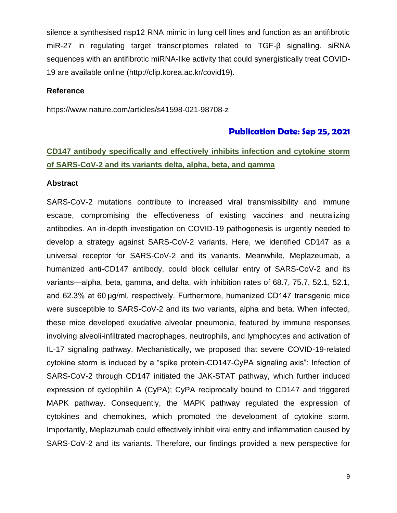silence a synthesised nsp12 RNA mimic in lung cell lines and function as an antifibrotic miR-27 in regulating target transcriptomes related to TGF-β signalling. siRNA sequences with an antifibrotic miRNA-like activity that could synergistically treat COVID-19 are available online (http://clip.korea.ac.kr/covid19).

#### **Reference**

https://www.nature.com/articles/s41598-021-98708-z

#### **Publication Date: Sep 25, 2021**

## **CD147 antibody specifically and effectively inhibits infection and cytokine storm of SARS-CoV-2 and its variants delta, alpha, beta, and gamma**

#### **Abstract**

SARS-CoV-2 mutations contribute to increased viral transmissibility and immune escape, compromising the effectiveness of existing vaccines and neutralizing antibodies. An in-depth investigation on COVID-19 pathogenesis is urgently needed to develop a strategy against SARS-CoV-2 variants. Here, we identified CD147 as a universal receptor for SARS-CoV-2 and its variants. Meanwhile, Meplazeumab, a humanized anti-CD147 antibody, could block cellular entry of SARS-CoV-2 and its variants—alpha, beta, gamma, and delta, with inhibition rates of 68.7, 75.7, 52.1, 52.1, and 62.3% at 60 μg/ml, respectively. Furthermore, humanized CD147 transgenic mice were susceptible to SARS-CoV-2 and its two variants, alpha and beta. When infected, these mice developed exudative alveolar pneumonia, featured by immune responses involving alveoli-infiltrated macrophages, neutrophils, and lymphocytes and activation of IL-17 signaling pathway. Mechanistically, we proposed that severe COVID-19-related cytokine storm is induced by a "spike protein-CD147-CyPA signaling axis": Infection of SARS-CoV-2 through CD147 initiated the JAK-STAT pathway, which further induced expression of cyclophilin A (CyPA); CyPA reciprocally bound to CD147 and triggered MAPK pathway. Consequently, the MAPK pathway regulated the expression of cytokines and chemokines, which promoted the development of cytokine storm. Importantly, Meplazumab could effectively inhibit viral entry and inflammation caused by SARS-CoV-2 and its variants. Therefore, our findings provided a new perspective for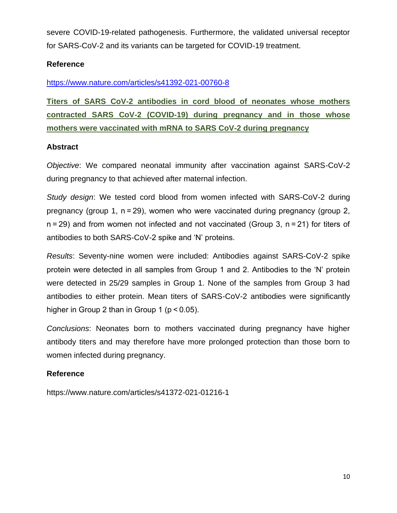severe COVID-19-related pathogenesis. Furthermore, the validated universal receptor for SARS-CoV-2 and its variants can be targeted for COVID-19 treatment.

## **Reference**

<https://www.nature.com/articles/s41392-021-00760-8>

**Titers of SARS CoV-2 antibodies in cord blood of neonates whose mothers contracted SARS CoV-2 (COVID-19) during pregnancy and in those whose mothers were vaccinated with mRNA to SARS CoV-2 during pregnancy**

## **Abstract**

*Objective*: We compared neonatal immunity after vaccination against SARS-CoV-2 during pregnancy to that achieved after maternal infection.

*Study design*: We tested cord blood from women infected with SARS-CoV-2 during pregnancy (group 1, n = 29), women who were vaccinated during pregnancy (group 2, n = 29) and from women not infected and not vaccinated (Group 3, n = 21) for titers of antibodies to both SARS-CoV-2 spike and 'N' proteins.

*Results*: Seventy-nine women were included: Antibodies against SARS-CoV-2 spike protein were detected in all samples from Group 1 and 2. Antibodies to the 'N' protein were detected in 25/29 samples in Group 1. None of the samples from Group 3 had antibodies to either protein. Mean titers of SARS-CoV-2 antibodies were significantly higher in Group 2 than in Group 1 (p < 0.05).

*Conclusions*: Neonates born to mothers vaccinated during pregnancy have higher antibody titers and may therefore have more prolonged protection than those born to women infected during pregnancy.

## **Reference**

https://www.nature.com/articles/s41372-021-01216-1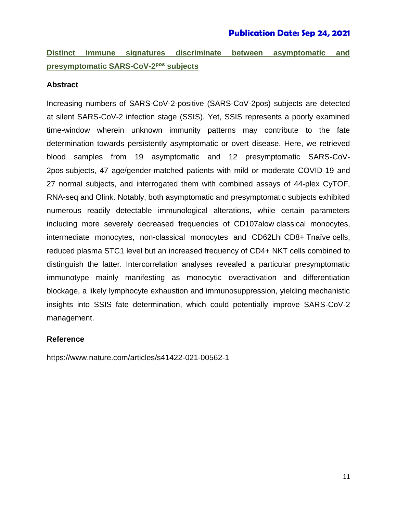## **Publication Date: Sep 24, 2021**

## **Distinct immune signatures discriminate between asymptomatic and presymptomatic SARS-CoV-2<sup>pos</sup> subjects**

#### **Abstract**

Increasing numbers of SARS-CoV-2-positive (SARS-CoV-2pos) subjects are detected at silent SARS-CoV-2 infection stage (SSIS). Yet, SSIS represents a poorly examined time-window wherein unknown immunity patterns may contribute to the fate determination towards persistently asymptomatic or overt disease. Here, we retrieved blood samples from 19 asymptomatic and 12 presymptomatic SARS-CoV-2pos subjects, 47 age/gender-matched patients with mild or moderate COVID-19 and 27 normal subjects, and interrogated them with combined assays of 44-plex CyTOF, RNA-seq and Olink. Notably, both asymptomatic and presymptomatic subjects exhibited numerous readily detectable immunological alterations, while certain parameters including more severely decreased frequencies of CD107alow classical monocytes, intermediate monocytes, non-classical monocytes and CD62Lhi CD8+ Tnaïve cells, reduced plasma STC1 level but an increased frequency of CD4+ NKT cells combined to distinguish the latter. Intercorrelation analyses revealed a particular presymptomatic immunotype mainly manifesting as monocytic overactivation and differentiation blockage, a likely lymphocyte exhaustion and immunosuppression, yielding mechanistic insights into SSIS fate determination, which could potentially improve SARS-CoV-2 management.

#### **Reference**

https://www.nature.com/articles/s41422-021-00562-1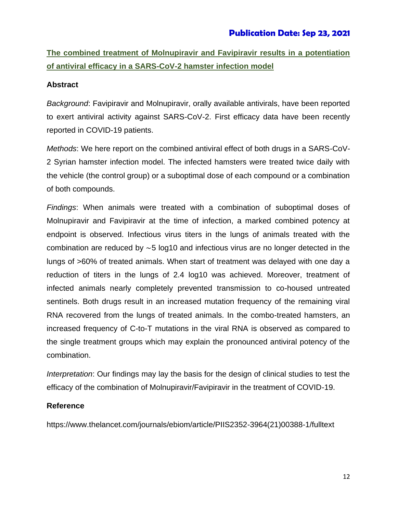## **The combined treatment of Molnupiravir and Favipiravir results in a potentiation of antiviral efficacy in a SARS-CoV-2 hamster infection model**

## **Abstract**

*Background*: Favipiravir and Molnupiravir, orally available antivirals, have been reported to exert antiviral activity against SARS-CoV-2. First efficacy data have been recently reported in COVID-19 patients.

*Methods*: We here report on the combined antiviral effect of both drugs in a SARS-CoV-2 Syrian hamster infection model. The infected hamsters were treated twice daily with the vehicle (the control group) or a suboptimal dose of each compound or a combination of both compounds.

*Findings*: When animals were treated with a combination of suboptimal doses of Molnupiravir and Favipiravir at the time of infection, a marked combined potency at endpoint is observed. Infectious virus titers in the lungs of animals treated with the combination are reduced by ∼5 log10 and infectious virus are no longer detected in the lungs of >60% of treated animals. When start of treatment was delayed with one day a reduction of titers in the lungs of 2.4 log10 was achieved. Moreover, treatment of infected animals nearly completely prevented transmission to co-housed untreated sentinels. Both drugs result in an increased mutation frequency of the remaining viral RNA recovered from the lungs of treated animals. In the combo-treated hamsters, an increased frequency of C-to-T mutations in the viral RNA is observed as compared to the single treatment groups which may explain the pronounced antiviral potency of the combination.

*Interpretation*: Our findings may lay the basis for the design of clinical studies to test the efficacy of the combination of Molnupiravir/Favipiravir in the treatment of COVID-19.

## **Reference**

https://www.thelancet.com/journals/ebiom/article/PIIS2352-3964(21)00388-1/fulltext